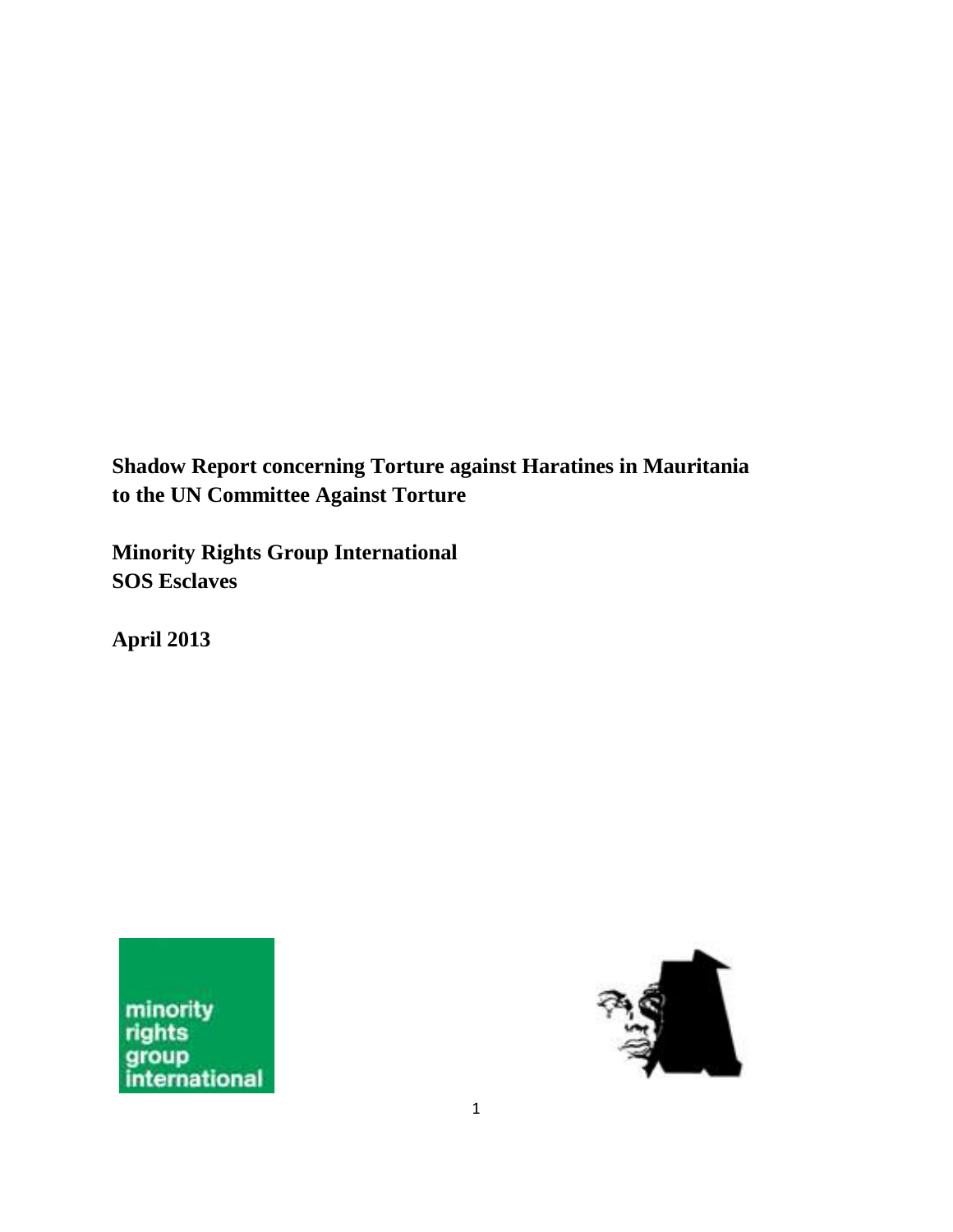**Shadow Report concerning Torture against Haratines in Mauritania to the UN Committee Against Torture** 

**Minority Rights Group International SOS Esclaves**

**April 2013**



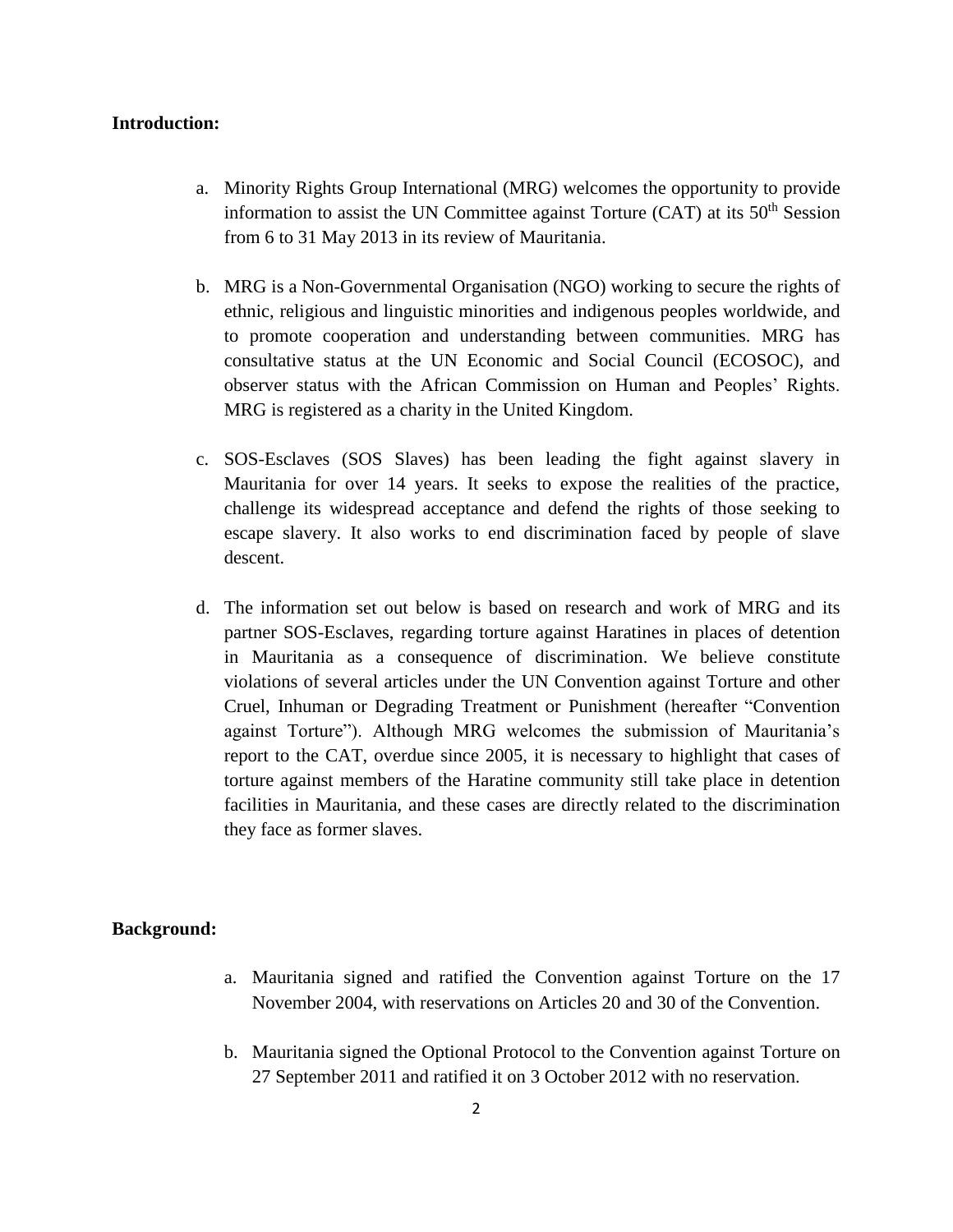#### **Introduction:**

- a. Minority Rights Group International (MRG) welcomes the opportunity to provide information to assist the UN Committee against Torture  $(CAT)$  at its  $50<sup>th</sup>$  Session from 6 to 31 May 2013 in its review of Mauritania.
- b. MRG is a Non-Governmental Organisation (NGO) working to secure the rights of ethnic, religious and linguistic minorities and indigenous peoples worldwide, and to promote cooperation and understanding between communities. MRG has consultative status at the UN Economic and Social Council (ECOSOC), and observer status with the African Commission on Human and Peoples' Rights. MRG is registered as a charity in the United Kingdom.
- c. SOS-Esclaves (SOS Slaves) has been leading the fight against slavery in Mauritania for over 14 years. It seeks to expose the realities of the practice, challenge its widespread acceptance and defend the rights of those seeking to escape slavery. It also works to end discrimination faced by people of slave descent.
- d. The information set out below is based on research and work of MRG and its partner SOS-Esclaves, regarding torture against Haratines in places of detention in Mauritania as a consequence of discrimination. We believe constitute violations of several articles under the UN Convention against Torture and other Cruel, Inhuman or Degrading Treatment or Punishment (hereafter "Convention against Torture"). Although MRG welcomes the submission of Mauritania's report to the CAT, overdue since 2005, it is necessary to highlight that cases of torture against members of the Haratine community still take place in detention facilities in Mauritania, and these cases are directly related to the discrimination they face as former slaves.

### **Background:**

- a. Mauritania signed and ratified the Convention against Torture on the 17 November 2004, with reservations on Articles 20 and 30 of the Convention.
- b. Mauritania signed the Optional Protocol to the Convention against Torture on 27 September 2011 and ratified it on 3 October 2012 with no reservation.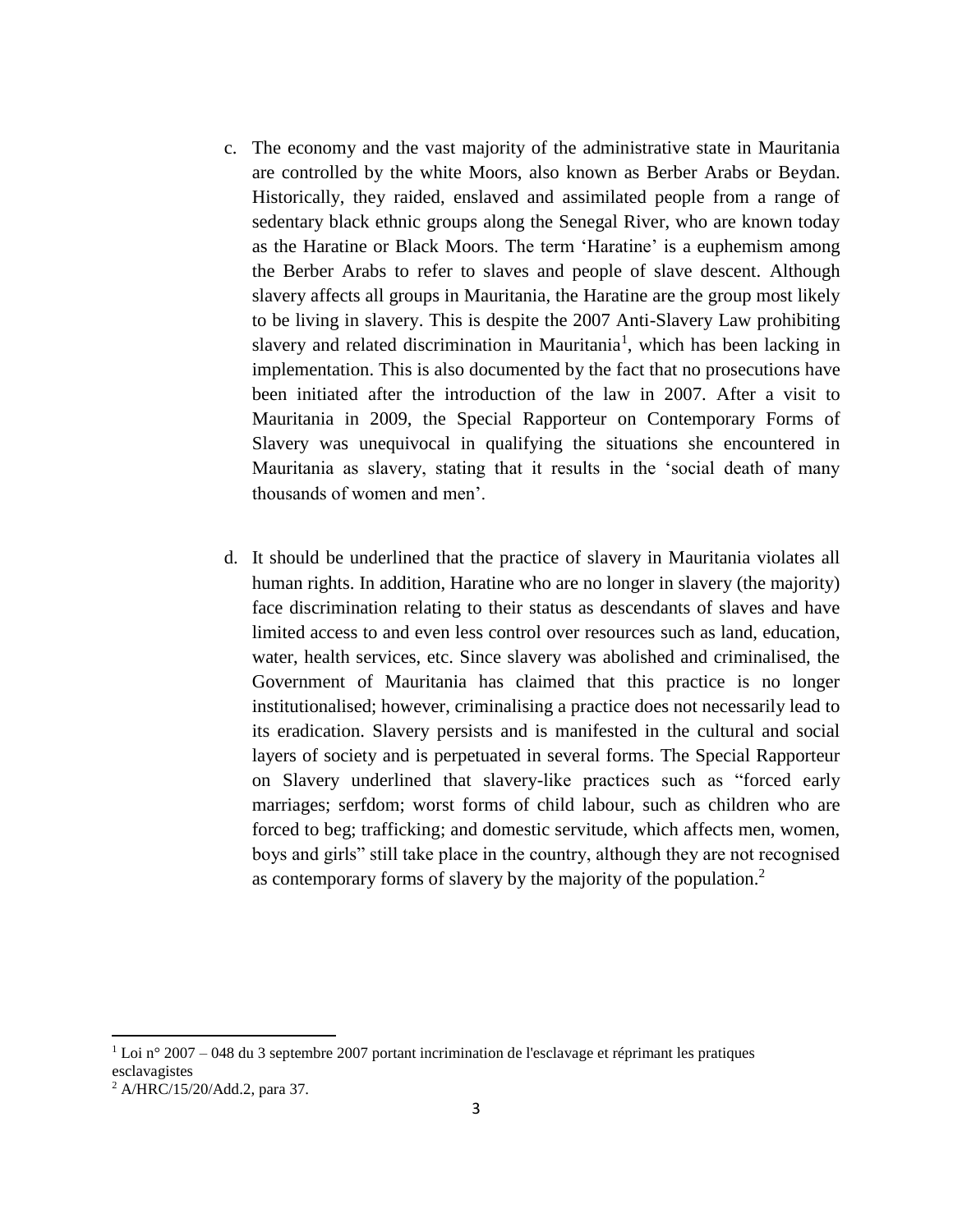- c. The economy and the vast majority of the administrative state in Mauritania are controlled by the white Moors, also known as Berber Arabs or Beydan. Historically, they raided, enslaved and assimilated people from a range of sedentary black ethnic groups along the Senegal River, who are known today as the Haratine or Black Moors. The term 'Haratine' is a euphemism among the Berber Arabs to refer to slaves and people of slave descent. Although slavery affects all groups in Mauritania, the Haratine are the group most likely to be living in slavery. This is despite the 2007 Anti-Slavery Law prohibiting slavery and related discrimination in Mauritania<sup>1</sup>, which has been lacking in implementation. This is also documented by the fact that no prosecutions have been initiated after the introduction of the law in 2007. After a visit to Mauritania in 2009, the Special Rapporteur on Contemporary Forms of Slavery was unequivocal in qualifying the situations she encountered in Mauritania as slavery, stating that it results in the 'social death of many thousands of women and men'.
- d. It should be underlined that the practice of slavery in Mauritania violates all human rights. In addition, Haratine who are no longer in slavery (the majority) face discrimination relating to their status as descendants of slaves and have limited access to and even less control over resources such as land, education, water, health services, etc. Since slavery was abolished and criminalised, the Government of Mauritania has claimed that this practice is no longer institutionalised; however, criminalising a practice does not necessarily lead to its eradication. Slavery persists and is manifested in the cultural and social layers of society and is perpetuated in several forms. The Special Rapporteur on Slavery underlined that slavery-like practices such as "forced early marriages; serfdom; worst forms of child labour, such as children who are forced to beg; trafficking; and domestic servitude, which affects men, women, boys and girls" still take place in the country, although they are not recognised as contemporary forms of slavery by the majority of the population.<sup>2</sup>

l

 $1$  Loi n° 2007 – 048 du 3 septembre 2007 portant incrimination de l'esclavage et réprimant les pratiques esclavagistes

<sup>2</sup> A/HRC/15/20/Add.2, para 37.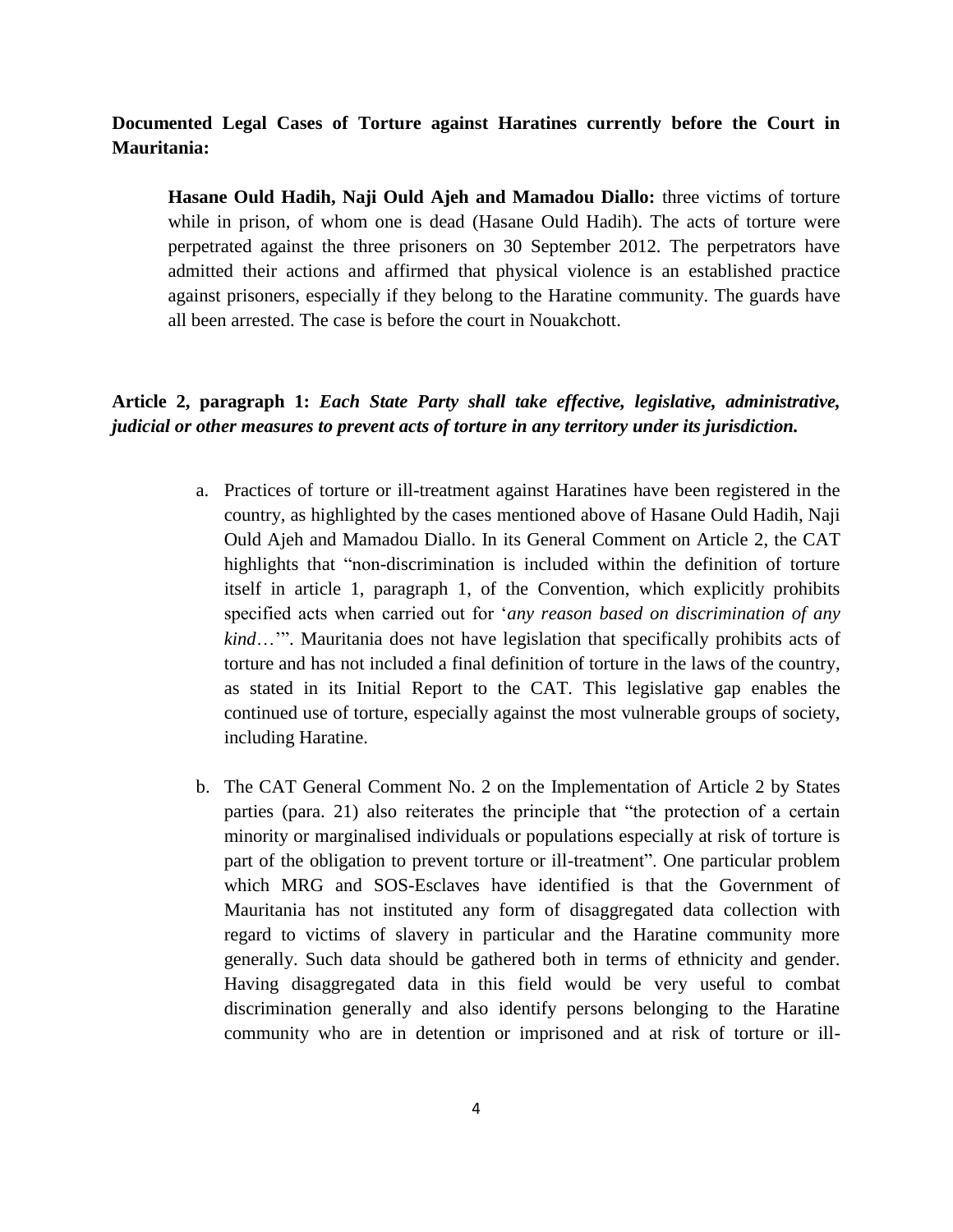# **Documented Legal Cases of Torture against Haratines currently before the Court in Mauritania:**

**Hasane Ould Hadih, Naji Ould Ajeh and Mamadou Diallo:** three victims of torture while in prison, of whom one is dead (Hasane Ould Hadih). The acts of torture were perpetrated against the three prisoners on 30 September 2012. The perpetrators have admitted their actions and affirmed that physical violence is an established practice against prisoners, especially if they belong to the Haratine community. The guards have all been arrested. The case is before the court in Nouakchott.

# **Article 2, paragraph 1:** *Each State Party shall take effective, legislative, administrative, judicial or other measures to prevent acts of torture in any territory under its jurisdiction.*

- a. Practices of torture or ill-treatment against Haratines have been registered in the country, as highlighted by the cases mentioned above of Hasane Ould Hadih, Naji Ould Ajeh and Mamadou Diallo. In its General Comment on Article 2, the CAT highlights that "non-discrimination is included within the definition of torture itself in article 1, paragraph 1, of the Convention, which explicitly prohibits specified acts when carried out for '*any reason based on discrimination of any kind*…'". Mauritania does not have legislation that specifically prohibits acts of torture and has not included a final definition of torture in the laws of the country, as stated in its Initial Report to the CAT. This legislative gap enables the continued use of torture, especially against the most vulnerable groups of society, including Haratine.
- b. The CAT General Comment No. 2 on the Implementation of Article 2 by States parties (para. 21) also reiterates the principle that "the protection of a certain minority or marginalised individuals or populations especially at risk of torture is part of the obligation to prevent torture or ill-treatment". One particular problem which MRG and SOS-Esclaves have identified is that the Government of Mauritania has not instituted any form of disaggregated data collection with regard to victims of slavery in particular and the Haratine community more generally. Such data should be gathered both in terms of ethnicity and gender. Having disaggregated data in this field would be very useful to combat discrimination generally and also identify persons belonging to the Haratine community who are in detention or imprisoned and at risk of torture or ill-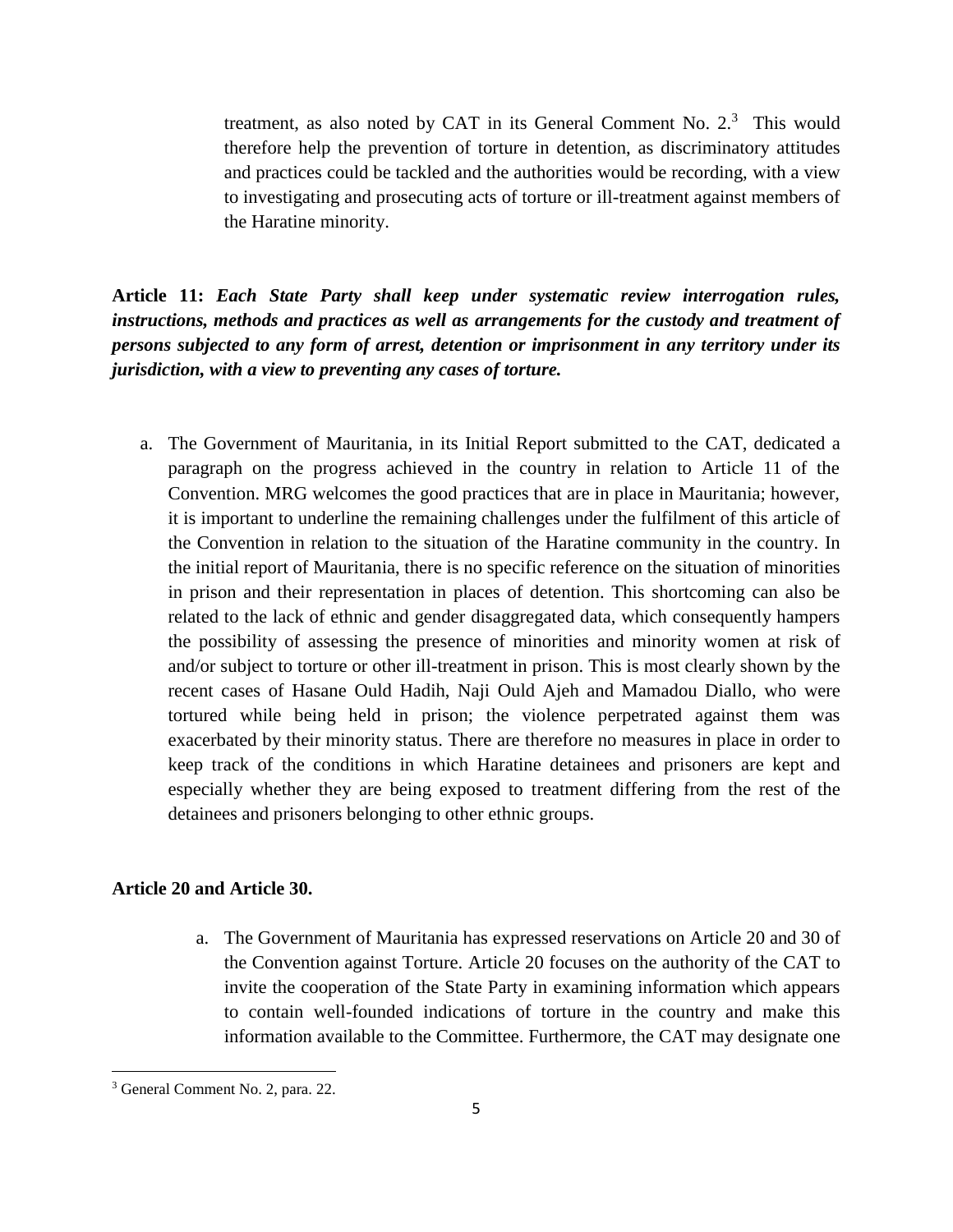treatment, as also noted by CAT in its General Comment No.  $2<sup>3</sup>$  This would therefore help the prevention of torture in detention, as discriminatory attitudes and practices could be tackled and the authorities would be recording, with a view to investigating and prosecuting acts of torture or ill-treatment against members of the Haratine minority.

**Article 11:** *Each State Party shall keep under systematic review interrogation rules, instructions, methods and practices as well as arrangements for the custody and treatment of persons subjected to any form of arrest, detention or imprisonment in any territory under its jurisdiction, with a view to preventing any cases of torture.*

a. The Government of Mauritania, in its Initial Report submitted to the CAT, dedicated a paragraph on the progress achieved in the country in relation to Article 11 of the Convention. MRG welcomes the good practices that are in place in Mauritania; however, it is important to underline the remaining challenges under the fulfilment of this article of the Convention in relation to the situation of the Haratine community in the country. In the initial report of Mauritania, there is no specific reference on the situation of minorities in prison and their representation in places of detention. This shortcoming can also be related to the lack of ethnic and gender disaggregated data, which consequently hampers the possibility of assessing the presence of minorities and minority women at risk of and/or subject to torture or other ill-treatment in prison. This is most clearly shown by the recent cases of Hasane Ould Hadih, Naji Ould Ajeh and Mamadou Diallo, who were tortured while being held in prison; the violence perpetrated against them was exacerbated by their minority status. There are therefore no measures in place in order to keep track of the conditions in which Haratine detainees and prisoners are kept and especially whether they are being exposed to treatment differing from the rest of the detainees and prisoners belonging to other ethnic groups.

### **Article 20 and Article 30.**

a. The Government of Mauritania has expressed reservations on Article 20 and 30 of the Convention against Torture. Article 20 focuses on the authority of the CAT to invite the cooperation of the State Party in examining information which appears to contain well-founded indications of torture in the country and make this information available to the Committee. Furthermore, the CAT may designate one

 $\overline{\phantom{a}}$ 

<sup>3</sup> General Comment No. 2, para. 22.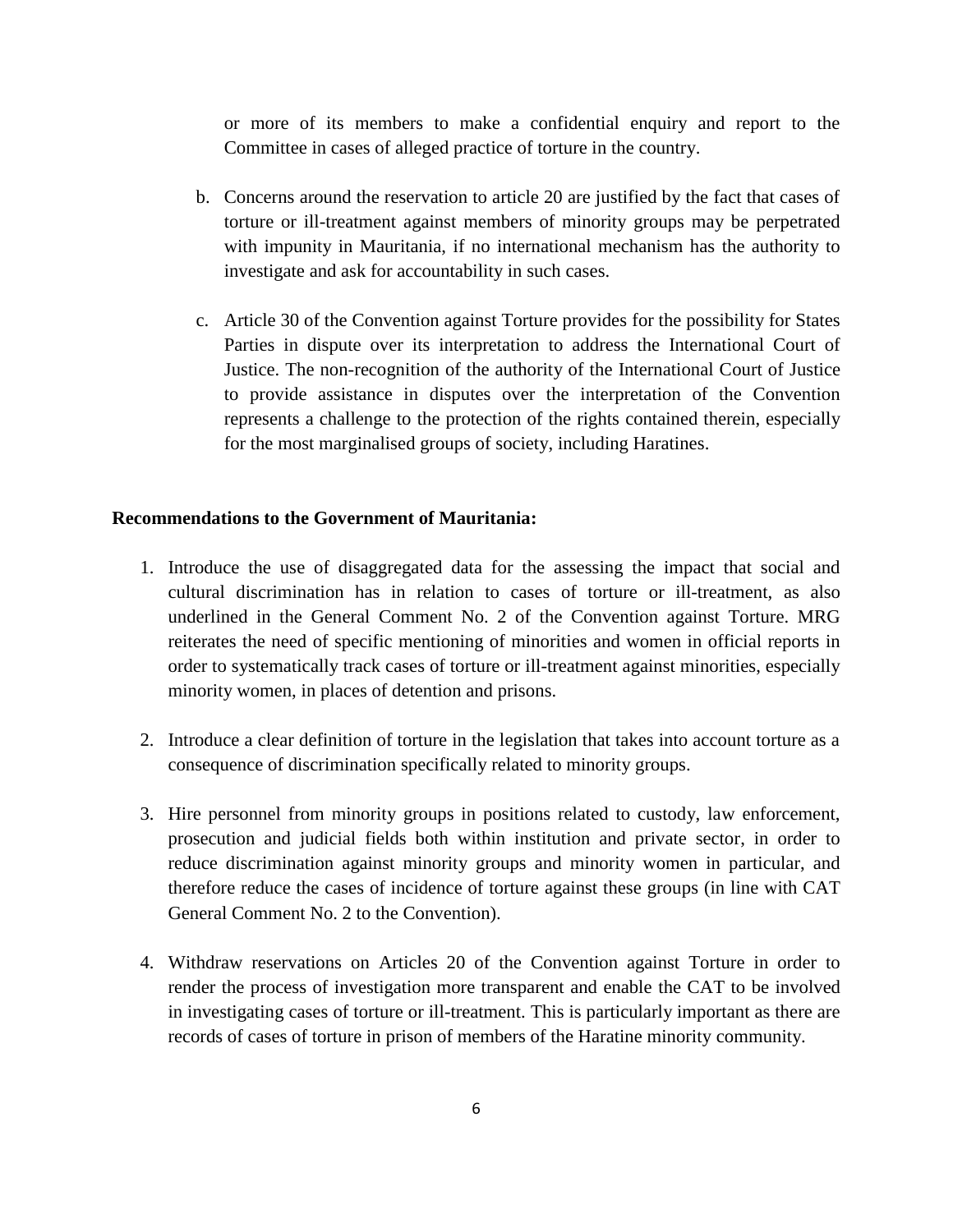or more of its members to make a confidential enquiry and report to the Committee in cases of alleged practice of torture in the country.

- b. Concerns around the reservation to article 20 are justified by the fact that cases of torture or ill-treatment against members of minority groups may be perpetrated with impunity in Mauritania, if no international mechanism has the authority to investigate and ask for accountability in such cases.
- c. Article 30 of the Convention against Torture provides for the possibility for States Parties in dispute over its interpretation to address the International Court of Justice. The non-recognition of the authority of the International Court of Justice to provide assistance in disputes over the interpretation of the Convention represents a challenge to the protection of the rights contained therein, especially for the most marginalised groups of society, including Haratines.

#### **Recommendations to the Government of Mauritania:**

- 1. Introduce the use of disaggregated data for the assessing the impact that social and cultural discrimination has in relation to cases of torture or ill-treatment, as also underlined in the General Comment No. 2 of the Convention against Torture. MRG reiterates the need of specific mentioning of minorities and women in official reports in order to systematically track cases of torture or ill-treatment against minorities, especially minority women, in places of detention and prisons.
- 2. Introduce a clear definition of torture in the legislation that takes into account torture as a consequence of discrimination specifically related to minority groups.
- 3. Hire personnel from minority groups in positions related to custody, law enforcement, prosecution and judicial fields both within institution and private sector, in order to reduce discrimination against minority groups and minority women in particular, and therefore reduce the cases of incidence of torture against these groups (in line with CAT General Comment No. 2 to the Convention).
- 4. Withdraw reservations on Articles 20 of the Convention against Torture in order to render the process of investigation more transparent and enable the CAT to be involved in investigating cases of torture or ill-treatment. This is particularly important as there are records of cases of torture in prison of members of the Haratine minority community.